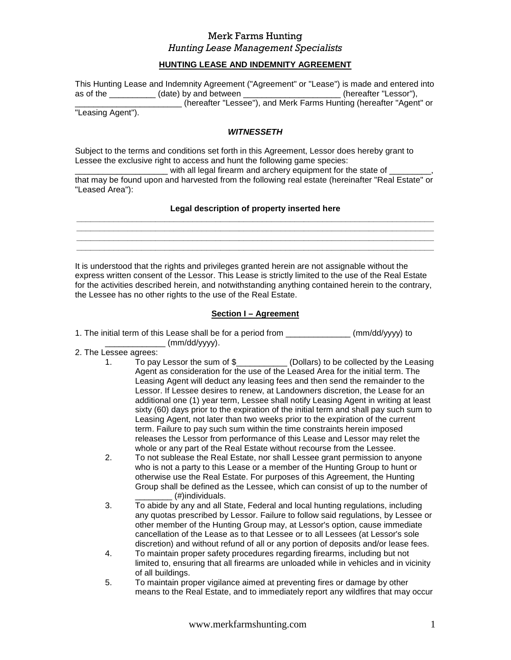### **HUNTING LEASE AND INDEMNITY AGREEMENT**

This Hunting Lease and Indemnity Agreement ("Agreement" or "Lease") is made and entered into as of the \_\_\_\_\_\_\_\_\_\_ (date) by and between \_\_\_\_\_\_\_\_\_\_\_\_\_\_\_\_\_\_\_\_\_ (hereafter "Lessor"), \_\_\_\_\_\_\_\_\_\_\_\_\_\_\_\_\_\_\_\_\_\_\_\_\_\_\_ (hereafter "Lessee"), and Merk Farms Hunting (hereafter "Agent" or

"Leasing Agent").

#### **WITNESSETH**

Subject to the terms and conditions set forth in this Agreement, Lessor does hereby grant to Lessee the exclusive right to access and hunt the following game species:

with all legal firearm and archery equipment for the state of that may be found upon and harvested from the following real estate (hereinafter "Real Estate" or "Leased Area"):

#### **Legal description of property inserted here**

**\_\_\_\_\_\_\_\_\_\_\_\_\_\_\_\_\_\_\_\_\_\_\_\_\_\_\_\_\_\_\_\_\_\_\_\_\_\_\_\_\_\_\_\_\_\_\_\_\_\_\_\_\_\_\_\_\_\_\_\_\_\_\_\_\_\_\_\_\_\_\_\_\_\_\_\_\_ \_\_\_\_\_\_\_\_\_\_\_\_\_\_\_\_\_\_\_\_\_\_\_\_\_\_\_\_\_\_\_\_\_\_\_\_\_\_\_\_\_\_\_\_\_\_\_\_\_\_\_\_\_\_\_\_\_\_\_\_\_\_\_\_\_\_\_\_\_\_\_\_\_\_\_\_\_ \_\_\_\_\_\_\_\_\_\_\_\_\_\_\_\_\_\_\_\_\_\_\_\_\_\_\_\_\_\_\_\_\_\_\_\_\_\_\_\_\_\_\_\_\_\_\_\_\_\_\_\_\_\_\_\_\_\_\_\_\_\_\_\_\_\_\_\_\_\_\_\_\_\_\_\_\_ \_\_\_\_\_\_\_\_\_\_\_\_\_\_\_\_\_\_\_\_\_\_\_\_\_\_\_\_\_\_\_\_\_\_\_\_\_\_\_\_\_\_\_\_\_\_\_\_\_\_\_\_\_\_\_\_\_\_\_\_\_\_\_\_\_\_\_\_\_\_\_\_\_\_\_\_\_** 

It is understood that the rights and privileges granted herein are not assignable without the express written consent of the Lessor. This Lease is strictly limited to the use of the Real Estate for the activities described herein, and notwithstanding anything contained herein to the contrary, the Lessee has no other rights to the use of the Real Estate.

### **Section I – Agreement**

1. The initial term of this Lease shall be for a period from \_\_\_\_\_\_\_\_\_\_\_\_\_\_ (mm/dd/yyyy) to  $\frac{1}{2}$  (mm/dd/yyyy).

- 2. The Lessee agrees:
	- 1. To pay Lessor the sum of \$\_\_\_\_\_\_\_\_\_\_\_ (Dollars) to be collected by the Leasing Agent as consideration for the use of the Leased Area for the initial term. The Leasing Agent will deduct any leasing fees and then send the remainder to the Lessor. If Lessee desires to renew, at Landowners discretion, the Lease for an additional one (1) year term, Lessee shall notify Leasing Agent in writing at least sixty (60) days prior to the expiration of the initial term and shall pay such sum to Leasing Agent, not later than two weeks prior to the expiration of the current term. Failure to pay such sum within the time constraints herein imposed releases the Lessor from performance of this Lease and Lessor may relet the whole or any part of the Real Estate without recourse from the Lessee.
	- 2. To not sublease the Real Estate, nor shall Lessee grant permission to anyone who is not a party to this Lease or a member of the Hunting Group to hunt or otherwise use the Real Estate. For purposes of this Agreement, the Hunting Group shall be defined as the Lessee, which can consist of up to the number of  $($ #)individuals.
	- 3. To abide by any and all State, Federal and local hunting regulations, including any quotas prescribed by Lessor. Failure to follow said regulations, by Lessee or other member of the Hunting Group may, at Lessor's option, cause immediate cancellation of the Lease as to that Lessee or to all Lessees (at Lessor's sole discretion) and without refund of all or any portion of deposits and/or lease fees.
	- 4. To maintain proper safety procedures regarding firearms, including but not limited to, ensuring that all firearms are unloaded while in vehicles and in vicinity of all buildings.
	- 5. To maintain proper vigilance aimed at preventing fires or damage by other means to the Real Estate, and to immediately report any wildfires that may occur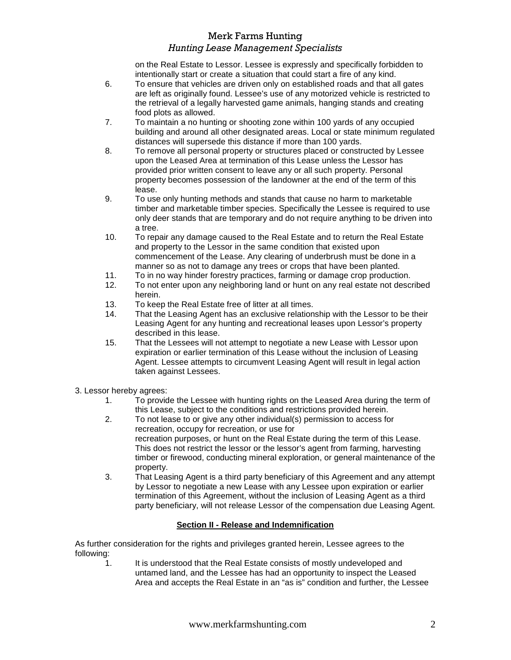on the Real Estate to Lessor. Lessee is expressly and specifically forbidden to intentionally start or create a situation that could start a fire of any kind.

- 6. To ensure that vehicles are driven only on established roads and that all gates are left as originally found. Lessee's use of any motorized vehicle is restricted to the retrieval of a legally harvested game animals, hanging stands and creating food plots as allowed.
- 7. To maintain a no hunting or shooting zone within 100 yards of any occupied building and around all other designated areas. Local or state minimum regulated distances will supersede this distance if more than 100 yards.
- 8. To remove all personal property or structures placed or constructed by Lessee upon the Leased Area at termination of this Lease unless the Lessor has provided prior written consent to leave any or all such property. Personal property becomes possession of the landowner at the end of the term of this lease.
- 9. To use only hunting methods and stands that cause no harm to marketable timber and marketable timber species. Specifically the Lessee is required to use only deer stands that are temporary and do not require anything to be driven into a tree.
- 10. To repair any damage caused to the Real Estate and to return the Real Estate and property to the Lessor in the same condition that existed upon commencement of the Lease. Any clearing of underbrush must be done in a manner so as not to damage any trees or crops that have been planted.
- 11. To in no way hinder forestry practices, farming or damage crop production.
- 12. To not enter upon any neighboring land or hunt on any real estate not described herein.
- 13. To keep the Real Estate free of litter at all times.
- 14. That the Leasing Agent has an exclusive relationship with the Lessor to be their Leasing Agent for any hunting and recreational leases upon Lessor's property described in this lease.
- 15. That the Lessees will not attempt to negotiate a new Lease with Lessor upon expiration or earlier termination of this Lease without the inclusion of Leasing Agent. Lessee attempts to circumvent Leasing Agent will result in legal action taken against Lessees.
- 3. Lessor hereby agrees:
	- 1. To provide the Lessee with hunting rights on the Leased Area during the term of this Lease, subject to the conditions and restrictions provided herein.
	- 2. To not lease to or give any other individual(s) permission to access for recreation, occupy for recreation, or use for recreation purposes, or hunt on the Real Estate during the term of this Lease. This does not restrict the lessor or the lessor's agent from farming, harvesting timber or firewood, conducting mineral exploration, or general maintenance of the property.
	- 3. That Leasing Agent is a third party beneficiary of this Agreement and any attempt by Lessor to negotiate a new Lease with any Lessee upon expiration or earlier termination of this Agreement, without the inclusion of Leasing Agent as a third party beneficiary, will not release Lessor of the compensation due Leasing Agent.

## **Section II - Release and Indemnification**

As further consideration for the rights and privileges granted herein, Lessee agrees to the following:

1. It is understood that the Real Estate consists of mostly undeveloped and untamed land, and the Lessee has had an opportunity to inspect the Leased Area and accepts the Real Estate in an "as is" condition and further, the Lessee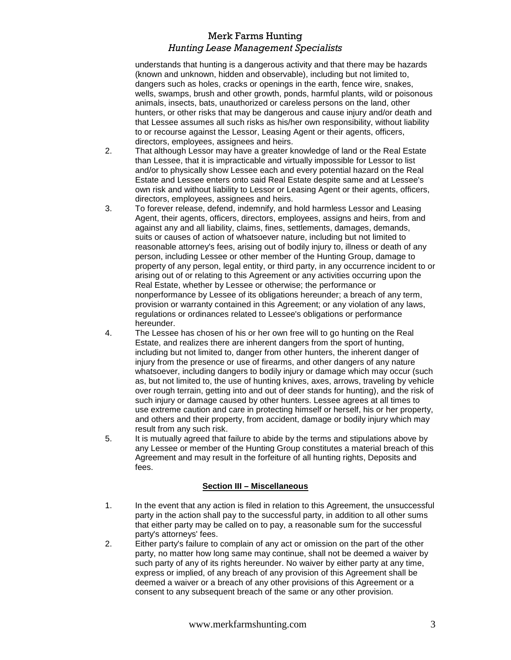understands that hunting is a dangerous activity and that there may be hazards (known and unknown, hidden and observable), including but not limited to, dangers such as holes, cracks or openings in the earth, fence wire, snakes, wells, swamps, brush and other growth, ponds, harmful plants, wild or poisonous animals, insects, bats, unauthorized or careless persons on the land, other hunters, or other risks that may be dangerous and cause injury and/or death and that Lessee assumes all such risks as his/her own responsibility, without liability to or recourse against the Lessor, Leasing Agent or their agents, officers, directors, employees, assignees and heirs.

- 2. That although Lessor may have a greater knowledge of land or the Real Estate than Lessee, that it is impracticable and virtually impossible for Lessor to list and/or to physically show Lessee each and every potential hazard on the Real Estate and Lessee enters onto said Real Estate despite same and at Lessee's own risk and without liability to Lessor or Leasing Agent or their agents, officers, directors, employees, assignees and heirs.
- 3. To forever release, defend, indemnify, and hold harmless Lessor and Leasing Agent, their agents, officers, directors, employees, assigns and heirs, from and against any and all liability, claims, fines, settlements, damages, demands, suits or causes of action of whatsoever nature, including but not limited to reasonable attorney's fees, arising out of bodily injury to, illness or death of any person, including Lessee or other member of the Hunting Group, damage to property of any person, legal entity, or third party, in any occurrence incident to or arising out of or relating to this Agreement or any activities occurring upon the Real Estate, whether by Lessee or otherwise; the performance or nonperformance by Lessee of its obligations hereunder; a breach of any term, provision or warranty contained in this Agreement; or any violation of any laws, regulations or ordinances related to Lessee's obligations or performance hereunder.
- 4. The Lessee has chosen of his or her own free will to go hunting on the Real Estate, and realizes there are inherent dangers from the sport of hunting, including but not limited to, danger from other hunters, the inherent danger of injury from the presence or use of firearms, and other dangers of any nature whatsoever, including dangers to bodily injury or damage which may occur (such as, but not limited to, the use of hunting knives, axes, arrows, traveling by vehicle over rough terrain, getting into and out of deer stands for hunting), and the risk of such injury or damage caused by other hunters. Lessee agrees at all times to use extreme caution and care in protecting himself or herself, his or her property, and others and their property, from accident, damage or bodily injury which may result from any such risk.
- 5. It is mutually agreed that failure to abide by the terms and stipulations above by any Lessee or member of the Hunting Group constitutes a material breach of this Agreement and may result in the forfeiture of all hunting rights, Deposits and fees.

#### **Section III – Miscellaneous**

- 1. In the event that any action is filed in relation to this Agreement, the unsuccessful party in the action shall pay to the successful party, in addition to all other sums that either party may be called on to pay, a reasonable sum for the successful party's attorneys' fees.
- 2. Either party's failure to complain of any act or omission on the part of the other party, no matter how long same may continue, shall not be deemed a waiver by such party of any of its rights hereunder. No waiver by either party at any time, express or implied, of any breach of any provision of this Agreement shall be deemed a waiver or a breach of any other provisions of this Agreement or a consent to any subsequent breach of the same or any other provision.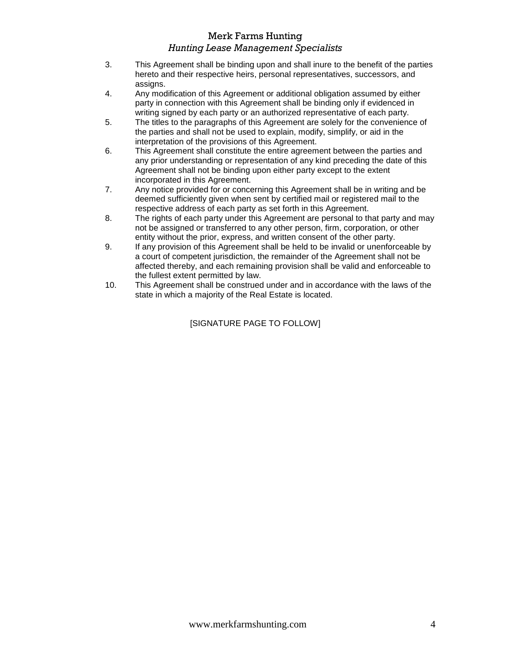- 3. This Agreement shall be binding upon and shall inure to the benefit of the parties hereto and their respective heirs, personal representatives, successors, and assigns.
- 4. Any modification of this Agreement or additional obligation assumed by either party in connection with this Agreement shall be binding only if evidenced in writing signed by each party or an authorized representative of each party.
- 5. The titles to the paragraphs of this Agreement are solely for the convenience of the parties and shall not be used to explain, modify, simplify, or aid in the interpretation of the provisions of this Agreement.
- 6. This Agreement shall constitute the entire agreement between the parties and any prior understanding or representation of any kind preceding the date of this Agreement shall not be binding upon either party except to the extent incorporated in this Agreement.
- 7. Any notice provided for or concerning this Agreement shall be in writing and be deemed sufficiently given when sent by certified mail or registered mail to the respective address of each party as set forth in this Agreement.
- 8. The rights of each party under this Agreement are personal to that party and may not be assigned or transferred to any other person, firm, corporation, or other entity without the prior, express, and written consent of the other party.
- 9. If any provision of this Agreement shall be held to be invalid or unenforceable by a court of competent jurisdiction, the remainder of the Agreement shall not be affected thereby, and each remaining provision shall be valid and enforceable to the fullest extent permitted by law.
- 10. This Agreement shall be construed under and in accordance with the laws of the state in which a majority of the Real Estate is located.

[SIGNATURE PAGE TO FOLLOW]